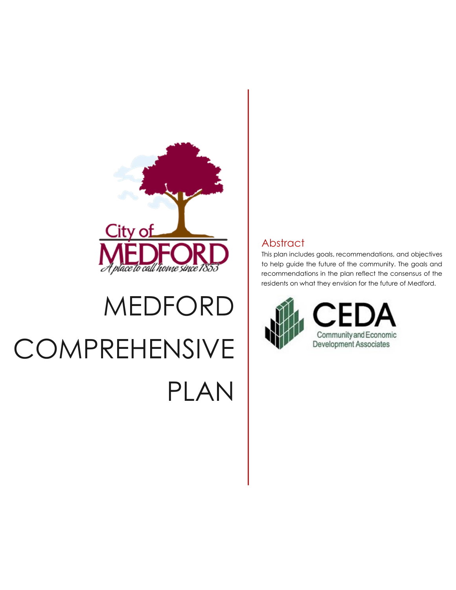

# MEDFORD **COMPREHENSIVE** PLAN

## **Abstract**

This plan includes goals, recommendations, and objectives to help guide the future of the community. The goals and recommendations in the plan reflect the consensus of the residents on what they envision for the future of Medford.

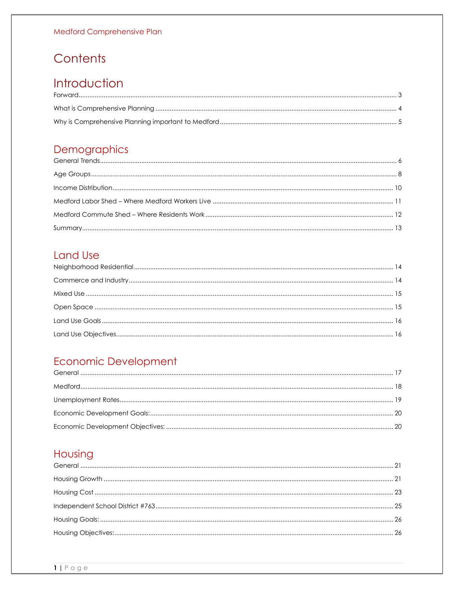## Contents

## Introduction

## Demographics

## **Land Use**

## Economic Development

## Housing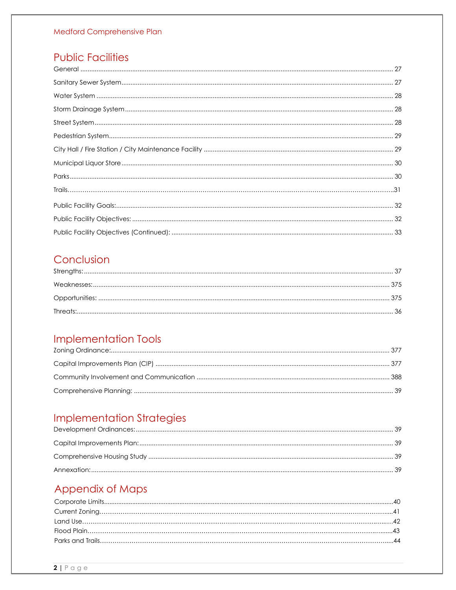## **Public Facilities**

## Conclusion

## **Implementation Tools**

## **Implementation Strategies**

## Appendix of Maps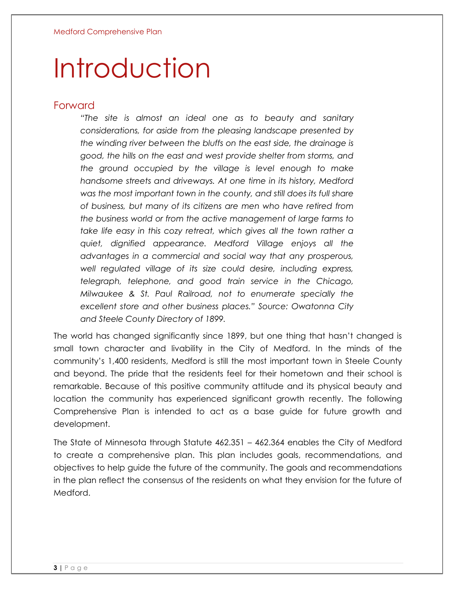## Introduction

#### <span id="page-3-0"></span>Forward

*"The site is almost an ideal one as to beauty and sanitary considerations, for aside from the pleasing landscape presented by the winding river between the bluffs on the east side, the drainage is good, the hills on the east and west provide shelter from storms, and the ground occupied by the village is level enough to make handsome streets and driveways. At one time in its history, Medford was the most important town in the county, and still does its full share of business, but many of its citizens are men who have retired from the business world or from the active management of large farms to take life easy in this cozy retreat, which gives all the town rather a quiet, dignified appearance. Medford Village enjoys all the advantages in a commercial and social way that any prosperous, well regulated village of its size could desire, including express, telegraph, telephone, and good train service in the Chicago, Milwaukee & St. Paul Railroad, not to enumerate specially the excellent store and other business places." Source: Owatonna City and Steele County Directory of 1899.*

The world has changed significantly since 1899, but one thing that hasn't changed is small town character and livability in the City of Medford. In the minds of the community's 1,400 residents, Medford is still the most important town in Steele County and beyond. The pride that the residents feel for their hometown and their school is remarkable. Because of this positive community attitude and its physical beauty and location the community has experienced significant growth recently. The following Comprehensive Plan is intended to act as a base guide for future growth and development.

The State of Minnesota through Statute 462.351 – 462.364 enables the City of Medford to create a comprehensive plan. This plan includes goals, recommendations, and objectives to help guide the future of the community. The goals and recommendations in the plan reflect the consensus of the residents on what they envision for the future of Medford.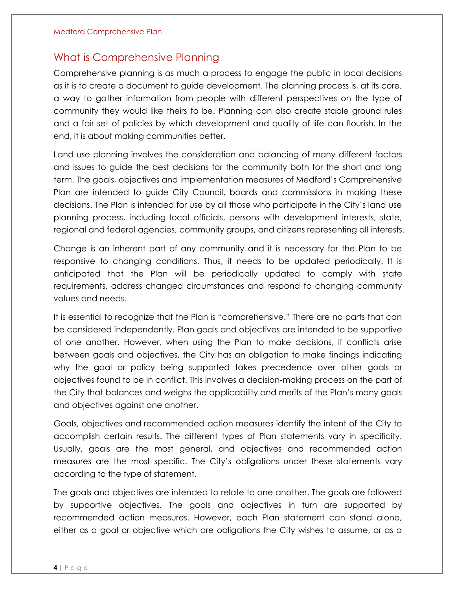#### <span id="page-4-0"></span>What is Comprehensive Planning

Comprehensive planning is as much a process to engage the public in local decisions as it is to create a document to guide development. The planning process is, at its core, a way to gather information from people with different perspectives on the type of community they would like theirs to be. Planning can also create stable ground rules and a fair set of policies by which development and quality of life can flourish. In the end, it is about making communities better.

Land use planning involves the consideration and balancing of many different factors and issues to guide the best decisions for the community both for the short and long term. The goals, objectives and implementation measures of Medford's Comprehensive Plan are intended to guide City Council, boards and commissions in making these decisions. The Plan is intended for use by all those who participate in the City's land use planning process, including local officials, persons with development interests, state, regional and federal agencies, community groups, and citizens representing all interests.

Change is an inherent part of any community and it is necessary for the Plan to be responsive to changing conditions. Thus, it needs to be updated periodically. It is anticipated that the Plan will be periodically updated to comply with state requirements, address changed circumstances and respond to changing community values and needs.

It is essential to recognize that the Plan is "comprehensive." There are no parts that can be considered independently. Plan goals and objectives are intended to be supportive of one another. However, when using the Plan to make decisions, if conflicts arise between goals and objectives, the City has an obligation to make findings indicating why the goal or policy being supported takes precedence over other goals or objectives found to be in conflict. This involves a decision-making process on the part of the City that balances and weighs the applicability and merits of the Plan's many goals and objectives against one another.

Goals, objectives and recommended action measures identify the intent of the City to accomplish certain results. The different types of Plan statements vary in specificity. Usually, goals are the most general, and objectives and recommended action measures are the most specific. The City's obligations under these statements vary according to the type of statement.

The goals and objectives are intended to relate to one another. The goals are followed by supportive objectives. The goals and objectives in turn are supported by recommended action measures. However, each Plan statement can stand alone, either as a goal or objective which are obligations the City wishes to assume, or as a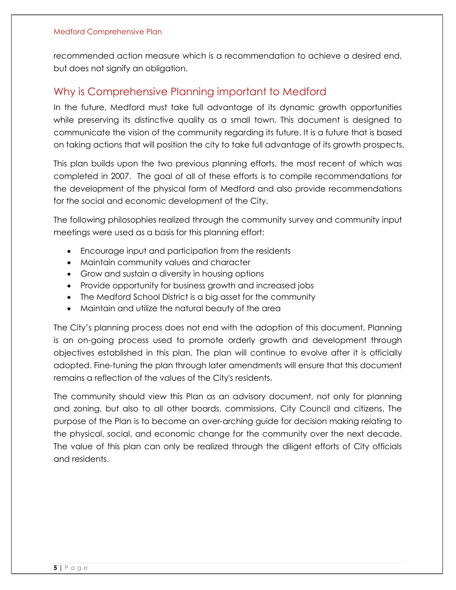recommended action measure which is a recommendation to achieve a desired end, but does not signify an obligation.

## <span id="page-5-0"></span>Why is Comprehensive Planning important to Medford

In the future, Medford must take full advantage of its dynamic growth opportunities while preserving its distinctive quality as a small town. This document is designed to communicate the vision of the community regarding its future. It is a future that is based on taking actions that will position the city to take full advantage of its growth prospects.

This plan builds upon the two previous planning efforts, the most recent of which was completed in 2007. The goal of all of these efforts is to compile recommendations for the development of the physical form of Medford and also provide recommendations for the social and economic development of the City.

The following philosophies realized through the community survey and community input meetings were used as a basis for this planning effort:

- Encourage input and participation from the residents
- Maintain community values and character
- Grow and sustain a diversity in housing options
- Provide opportunity for business growth and increased jobs
- The Medford School District is a big asset for the community
- Maintain and utilize the natural beauty of the area

The City's planning process does not end with the adoption of this document. Planning is an on-going process used to promote orderly growth and development through objectives established in this plan. The plan will continue to evolve after it is officially adopted. Fine-tuning the plan through later amendments will ensure that this document remains a reflection of the values of the City's residents.

The community should view this Plan as an advisory document, not only for planning and zoning, but also to all other boards, commissions, City Council and citizens. The purpose of the Plan is to become an over-arching guide for decision making relating to the physical, social, and economic change for the community over the next decade. The value of this plan can only be realized through the diligent efforts of City officials and residents.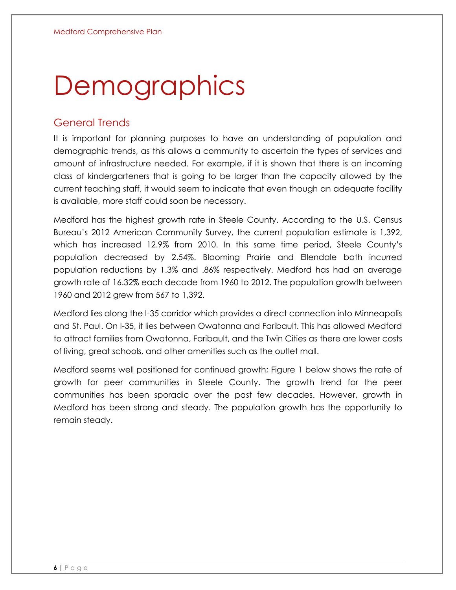# **Demographics**

## <span id="page-6-0"></span>General Trends

It is important for planning purposes to have an understanding of population and demographic trends, as this allows a community to ascertain the types of services and amount of infrastructure needed. For example, if it is shown that there is an incoming class of kindergarteners that is going to be larger than the capacity allowed by the current teaching staff, it would seem to indicate that even though an adequate facility is available, more staff could soon be necessary.

Medford has the highest growth rate in Steele County. According to the U.S. Census Bureau's 2012 American Community Survey, the current population estimate is 1,392, which has increased 12.9% from 2010. In this same time period, Steele County's population decreased by 2.54%. Blooming Prairie and Ellendale both incurred population reductions by 1.3% and .86% respectively. Medford has had an average growth rate of 16.32% each decade from 1960 to 2012. The population growth between 1960 and 2012 grew from 567 to 1,392.

Medford lies along the I-35 corridor which provides a direct connection into Minneapolis and St. Paul. On I-35, it lies between Owatonna and Faribault. This has allowed Medford to attract families from Owatonna, Faribault, and the Twin Cities as there are lower costs of living, great schools, and other amenities such as the outlet mall.

Medford seems well positioned for continued growth; Figure 1 below shows the rate of growth for peer communities in Steele County. The growth trend for the peer communities has been sporadic over the past few decades. However, growth in Medford has been strong and steady. The population growth has the opportunity to remain steady.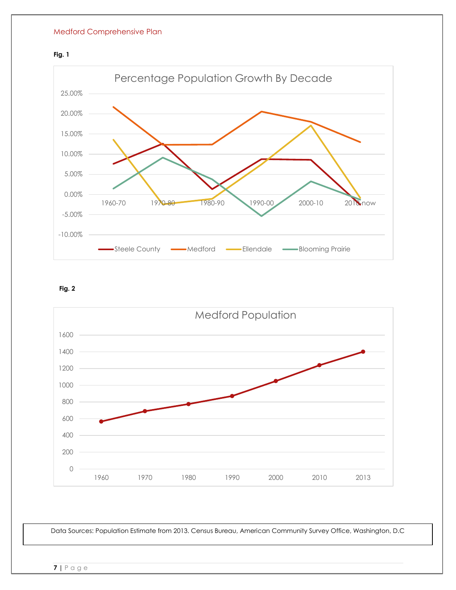#### **Fig. 1**



**Fig. 2**



Data Sources: Population Estimate from 2013. Census Bureau, American Community Survey Office, Washington, D.C

**7 |** P a g e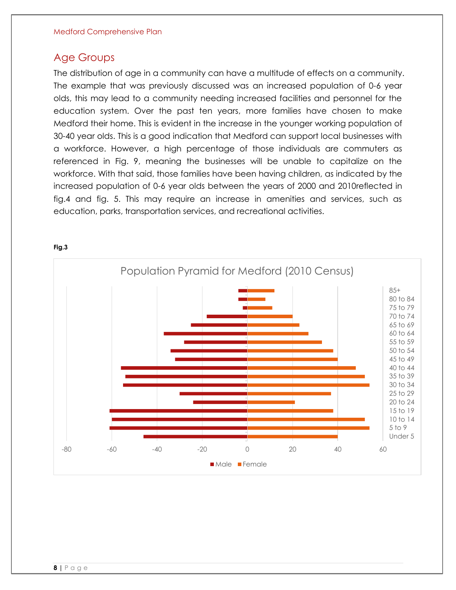### <span id="page-8-0"></span>Age Groups

The distribution of age in a community can have a multitude of effects on a community. The example that was previously discussed was an increased population of 0-6 year olds, this may lead to a community needing increased facilities and personnel for the education system. Over the past ten years, more families have chosen to make Medford their home. This is evident in the increase in the younger working population of 30-40 year olds. This is a good indication that Medford can support local businesses with a workforce. However, a high percentage of those individuals are commuters as referenced in Fig. 9, meaning the businesses will be unable to capitalize on the workforce. With that said, those families have been having children, as indicated by the increased population of 0-6 year olds between the years of 2000 and 2010reflected in fig.4 and fig. 5. This may require an increase in amenities and services, such as education, parks, transportation services, and recreational activities.



#### **Fig.3**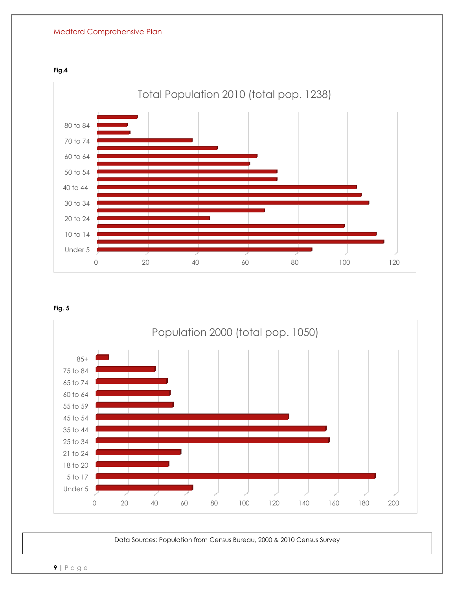







Data Sources: Population from Census Bureau, 2000 & 2010 Census Survey

**9 |** P a g e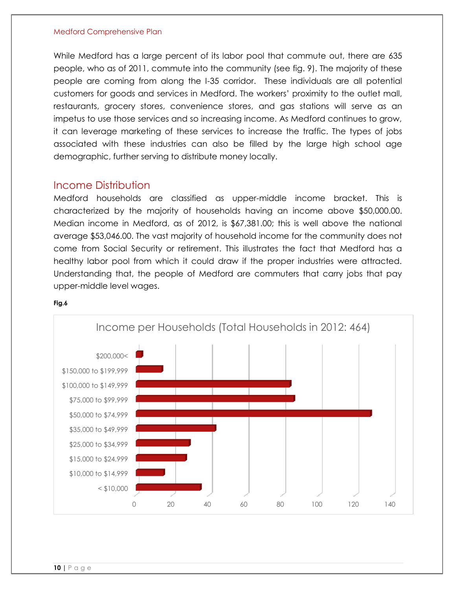While Medford has a large percent of its labor pool that commute out, there are 635 people, who as of 2011, commute into the community (see fig. 9). The majority of these people are coming from along the I-35 corridor. These individuals are all potential customers for goods and services in Medford. The workers' proximity to the outlet mall, restaurants, grocery stores, convenience stores, and gas stations will serve as an impetus to use those services and so increasing income. As Medford continues to grow, it can leverage marketing of these services to increase the traffic. The types of jobs associated with these industries can also be filled by the large high school age demographic, further serving to distribute money locally.

#### <span id="page-10-0"></span>Income Distribution

Medford households are classified as upper-middle income bracket. This is characterized by the majority of households having an income above \$50,000.00. Median income in Medford, as of 2012, is \$67,381.00; this is well above the national average \$53,046.00. The vast majority of household income for the community does not come from Social Security or retirement. This illustrates the fact that Medford has a healthy labor pool from which it could draw if the proper industries were attracted. Understanding that, the people of Medford are commuters that carry jobs that pay upper-middle level wages.



#### **Fig.6**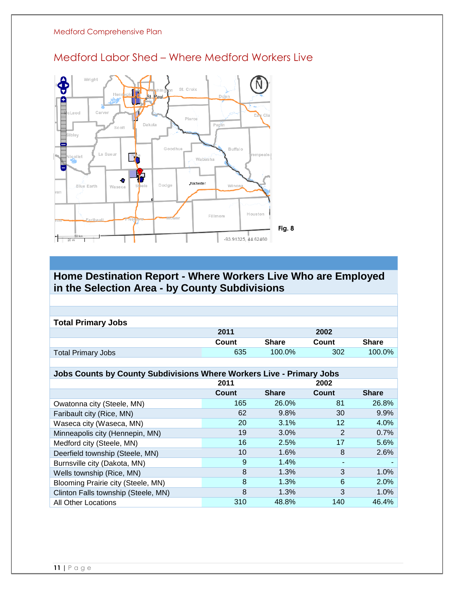

## <span id="page-11-0"></span>Medford Labor Shed – Where Medford Workers Live

#### **Home Destination Report - Where Workers Live Who are Employed in the Selection Area - by County Subdivisions**

| <b>Total Primary Jobs</b> |       |              |       |              |
|---------------------------|-------|--------------|-------|--------------|
|                           | 2011  |              | 2002  |              |
|                           | Count | <b>Share</b> | Count | <b>Share</b> |
| <b>Total Primary Jobs</b> | 635   | $100.0\%$    | 302   | 100.0%       |

#### **Jobs Counts by County Subdivisions Where Workers Live - Primary Jobs**

|                                     | 2011  |              | 2002  |              |
|-------------------------------------|-------|--------------|-------|--------------|
|                                     | Count | <b>Share</b> | Count | <b>Share</b> |
| Owatonna city (Steele, MN)          | 165   | 26.0%        | 81    | 26.8%        |
| Faribault city (Rice, MN)           | 62    | 9.8%         | 30    | 9.9%         |
| Waseca city (Waseca, MN)            | 20    | 3.1%         | 12    | 4.0%         |
| Minneapolis city (Hennepin, MN)     | 19    | 3.0%         | 2     | 0.7%         |
| Medford city (Steele, MN)           | 16    | 2.5%         | 17    | 5.6%         |
| Deerfield township (Steele, MN)     | 10    | 1.6%         | 8     | 2.6%         |
| Burnsville city (Dakota, MN)        | 9     | 1.4%         |       |              |
| Wells township (Rice, MN)           | 8     | 1.3%         | 3     | $1.0\%$      |
| Blooming Prairie city (Steele, MN)  | 8     | 1.3%         | 6     | 2.0%         |
| Clinton Falls township (Steele, MN) | 8     | 1.3%         | 3     | 1.0%         |
| <b>All Other Locations</b>          | 310   | 48.8%        | 140   | 46.4%        |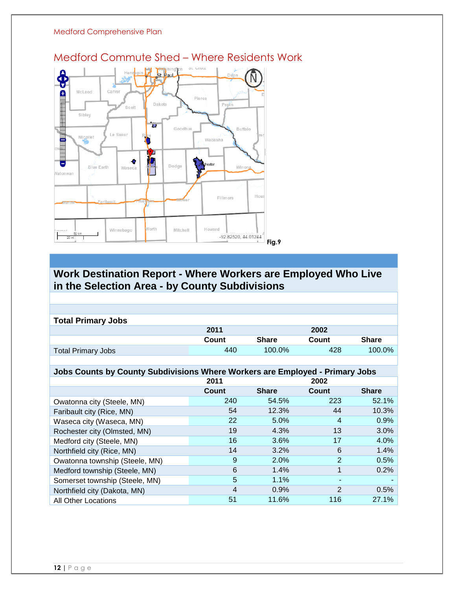

<span id="page-12-0"></span>Medford Commute Shed – Where Residents Work

## **Work Destination Report - Where Workers are Employed Who Live in the Selection Area - by County Subdivisions**

| <b>Total Primary Jobs</b> |       |              |       |              |
|---------------------------|-------|--------------|-------|--------------|
|                           | 2011  |              | 2002  |              |
|                           | Count | <b>Share</b> | Count | <b>Share</b> |
| <b>Total Primary Jobs</b> | 440   | $100.0\%$    | 428   | 100.0%       |
|                           |       |              |       |              |

#### **Jobs Counts by County Subdivisions Where Workers are Employed - Primary Jobs**

|                                | 2011           |              | 2002                     |              |
|--------------------------------|----------------|--------------|--------------------------|--------------|
|                                | Count          | <b>Share</b> | Count                    | <b>Share</b> |
| Owatonna city (Steele, MN)     | 240            | 54.5%        | 223                      | 52.1%        |
| Faribault city (Rice, MN)      | 54             | 12.3%        | 44                       | 10.3%        |
| Waseca city (Waseca, MN)       | 22             | 5.0%         | 4                        | 0.9%         |
| Rochester city (Olmsted, MN)   | 19             | 4.3%         | 13                       | 3.0%         |
| Medford city (Steele, MN)      | 16             | 3.6%         | 17                       | 4.0%         |
| Northfield city (Rice, MN)     | 14             | 3.2%         | 6                        | 1.4%         |
| Owatonna township (Steele, MN) | 9              | 2.0%         | $\overline{2}$           | 0.5%         |
| Medford township (Steele, MN)  | 6              | 1.4%         | 1                        | 0.2%         |
| Somerset township (Steele, MN) | 5              | 1.1%         | $\overline{\phantom{0}}$ |              |
| Northfield city (Dakota, MN)   | $\overline{4}$ | 0.9%         | $\overline{2}$           | 0.5%         |
| <b>All Other Locations</b>     | 51             | 11.6%        | 116                      | 27.1%        |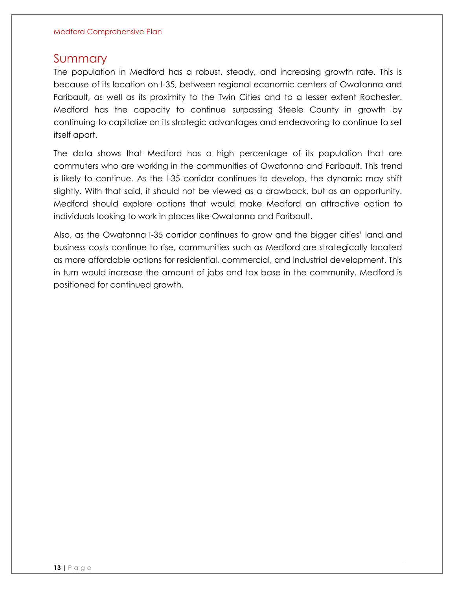## <span id="page-13-0"></span>Summary

The population in Medford has a robust, steady, and increasing growth rate. This is because of its location on I-35, between regional economic centers of Owatonna and Faribault, as well as its proximity to the Twin Cities and to a lesser extent Rochester. Medford has the capacity to continue surpassing Steele County in growth by continuing to capitalize on its strategic advantages and endeavoring to continue to set itself apart.

The data shows that Medford has a high percentage of its population that are commuters who are working in the communities of Owatonna and Faribault. This trend is likely to continue. As the I-35 corridor continues to develop, the dynamic may shift slightly. With that said, it should not be viewed as a drawback, but as an opportunity. Medford should explore options that would make Medford an attractive option to individuals looking to work in places like Owatonna and Faribault.

Also, as the Owatonna I-35 corridor continues to grow and the bigger cities' land and business costs continue to rise, communities such as Medford are strategically located as more affordable options for residential, commercial, and industrial development. This in turn would increase the amount of jobs and tax base in the community. Medford is positioned for continued growth.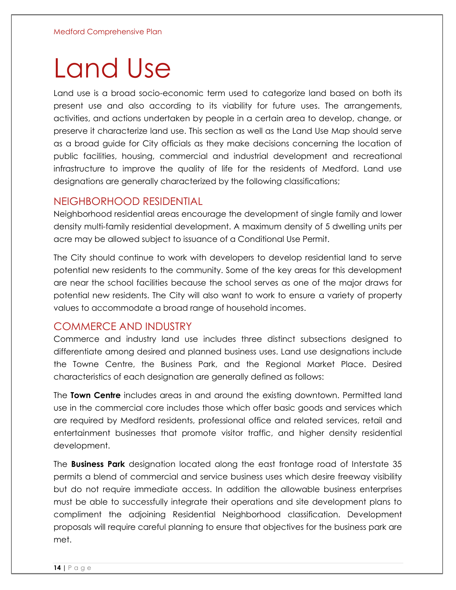## Land Use

Land use is a broad socio-economic term used to categorize land based on both its present use and also according to its viability for future uses. The arrangements, activities, and actions undertaken by people in a certain area to develop, change, or preserve it characterize land use. This section as well as the Land Use Map should serve as a broad guide for City officials as they make decisions concerning the location of public facilities, housing, commercial and industrial development and recreational infrastructure to improve the quality of life for the residents of Medford. Land use designations are generally characterized by the following classifications;

#### <span id="page-14-0"></span>NEIGHBORHOOD RESIDENTIAL

Neighborhood residential areas encourage the development of single family and lower density multi-family residential development. A maximum density of 5 dwelling units per acre may be allowed subject to issuance of a Conditional Use Permit.

The City should continue to work with developers to develop residential land to serve potential new residents to the community. Some of the key areas for this development are near the school facilities because the school serves as one of the major draws for potential new residents. The City will also want to work to ensure a variety of property values to accommodate a broad range of household incomes.

#### <span id="page-14-1"></span>COMMERCE AND INDUSTRY

Commerce and industry land use includes three distinct subsections designed to differentiate among desired and planned business uses. Land use designations include the Towne Centre, the Business Park, and the Regional Market Place. Desired characteristics of each designation are generally defined as follows:

The **Town Centre** includes areas in and around the existing downtown. Permitted land use in the commercial core includes those which offer basic goods and services which are required by Medford residents, professional office and related services, retail and entertainment businesses that promote visitor traffic, and higher density residential development.

The **Business Park** designation located along the east frontage road of Interstate 35 permits a blend of commercial and service business uses which desire freeway visibility but do not require immediate access. In addition the allowable business enterprises must be able to successfully integrate their operations and site development plans to compliment the adjoining Residential Neighborhood classification. Development proposals will require careful planning to ensure that objectives for the business park are met.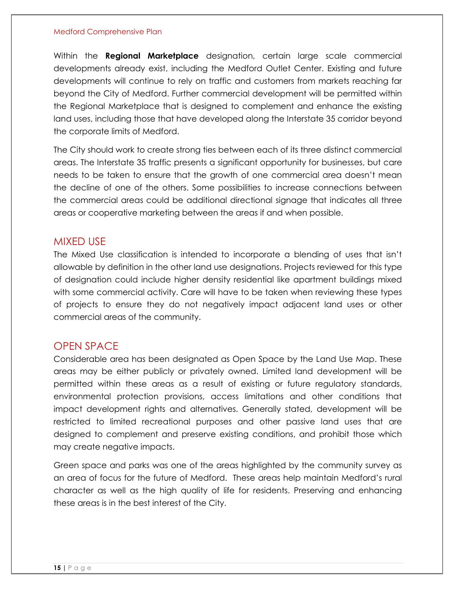Within the **Regional Marketplace** designation, certain large scale commercial developments already exist, including the Medford Outlet Center. Existing and future developments will continue to rely on traffic and customers from markets reaching far beyond the City of Medford. Further commercial development will be permitted within the Regional Marketplace that is designed to complement and enhance the existing land uses, including those that have developed along the Interstate 35 corridor beyond the corporate limits of Medford.

The City should work to create strong ties between each of its three distinct commercial areas. The Interstate 35 traffic presents a significant opportunity for businesses, but care needs to be taken to ensure that the growth of one commercial area doesn't mean the decline of one of the others. Some possibilities to increase connections between the commercial areas could be additional directional signage that indicates all three areas or cooperative marketing between the areas if and when possible.

#### <span id="page-15-0"></span>MIXED USE

The Mixed Use classification is intended to incorporate a blending of uses that isn't allowable by definition in the other land use designations. Projects reviewed for this type of designation could include higher density residential like apartment buildings mixed with some commercial activity. Care will have to be taken when reviewing these types of projects to ensure they do not negatively impact adjacent land uses or other commercial areas of the community.

#### <span id="page-15-1"></span>OPEN SPACE

Considerable area has been designated as Open Space by the Land Use Map. These areas may be either publicly or privately owned. Limited land development will be permitted within these areas as a result of existing or future regulatory standards, environmental protection provisions, access limitations and other conditions that impact development rights and alternatives. Generally stated, development will be restricted to limited recreational purposes and other passive land uses that are designed to complement and preserve existing conditions, and prohibit those which may create negative impacts.

Green space and parks was one of the areas highlighted by the community survey as an area of focus for the future of Medford. These areas help maintain Medford's rural character as well as the high quality of life for residents. Preserving and enhancing these areas is in the best interest of the City.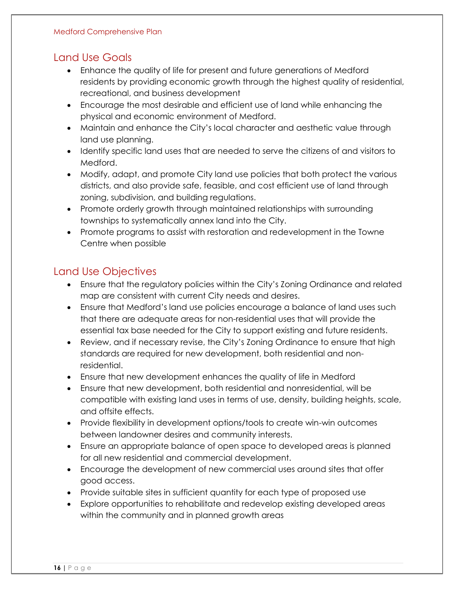## <span id="page-16-0"></span>Land Use Goals

- Enhance the quality of life for present and future generations of Medford residents by providing economic growth through the highest quality of residential, recreational, and business development
- Encourage the most desirable and efficient use of land while enhancing the physical and economic environment of Medford.
- Maintain and enhance the City's local character and aesthetic value through land use planning.
- Identify specific land uses that are needed to serve the citizens of and visitors to Medford.
- Modify, adapt, and promote City land use policies that both protect the various districts, and also provide safe, feasible, and cost efficient use of land through zoning, subdivision, and building regulations.
- Promote orderly growth through maintained relationships with surrounding townships to systematically annex land into the City.
- Promote programs to assist with restoration and redevelopment in the Towne Centre when possible

## <span id="page-16-1"></span>Land Use Objectives

- Ensure that the regulatory policies within the City's Zoning Ordinance and related map are consistent with current City needs and desires.
- Ensure that Medford's land use policies encourage a balance of land uses such that there are adequate areas for non-residential uses that will provide the essential tax base needed for the City to support existing and future residents.
- Review, and if necessary revise, the City's Zoning Ordinance to ensure that high standards are required for new development, both residential and nonresidential.
- Ensure that new development enhances the quality of life in Medford
- Ensure that new development, both residential and nonresidential, will be compatible with existing land uses in terms of use, density, building heights, scale, and offsite effects.
- Provide flexibility in development options/tools to create win-win outcomes between landowner desires and community interests.
- Ensure an appropriate balance of open space to developed areas is planned for all new residential and commercial development.
- Encourage the development of new commercial uses around sites that offer good access.
- Provide suitable sites in sufficient quantity for each type of proposed use
- Explore opportunities to rehabilitate and redevelop existing developed areas within the community and in planned growth areas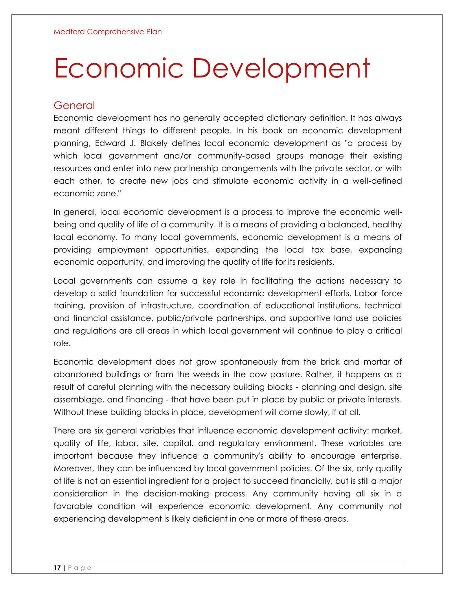# Economic Development

### <span id="page-17-0"></span>General

Economic development has no generally accepted dictionary definition. It has always meant different things to different people. In his book on economic development planning, Edward J. Blakely defines local economic development as "a process by which local government and/or community-based groups manage their existing resources and enter into new partnership arrangements with the private sector, or with each other, to create new jobs and stimulate economic activity in a well-defined economic zone."

In general, local economic development is a process to improve the economic wellbeing and quality of life of a community. It is a means of providing a balanced, healthy local economy. To many local governments, economic development is a means of providing employment opportunities, expanding the local tax base, expanding economic opportunity, and improving the quality of life for its residents.

Local governments can assume a key role in facilitating the actions necessary to develop a solid foundation for successful economic development efforts. Labor force training, provision of infrastructure, coordination of educational institutions, technical and financial assistance, public/private partnerships, and supportive land use policies and regulations are all areas in which local government will continue to play a critical role.

Economic development does not grow spontaneously from the brick and mortar of abandoned buildings or from the weeds in the cow pasture. Rather, it happens as a result of careful planning with the necessary building blocks - planning and design, site assemblage, and financing - that have been put in place by public or private interests. Without these building blocks in place, development will come slowly, if at all.

There are six general variables that influence economic development activity: market, quality of life, labor, site, capital, and regulatory environment. These variables are important because they influence a community's ability to encourage enterprise. Moreover, they can be influenced by local government policies. Of the six, only quality of life is not an essential ingredient for a project to succeed financially, but is still a major consideration in the decision-making process. Any community having all six in a favorable condition will experience economic development. Any community not experiencing development is likely deficient in one or more of these areas.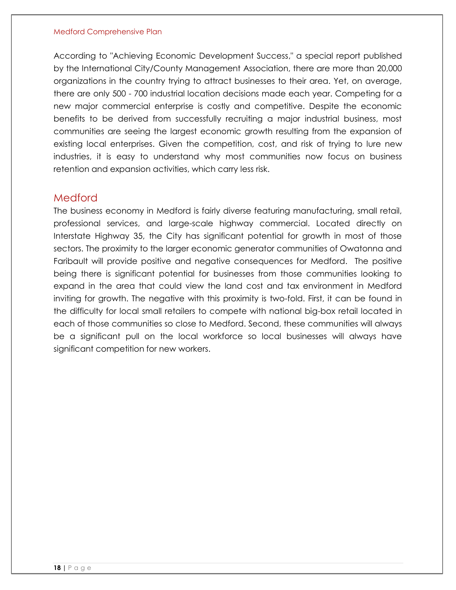According to "Achieving Economic Development Success," a special report published by the International City/County Management Association, there are more than 20,000 organizations in the country trying to attract businesses to their area. Yet, on average, there are only 500 - 700 industrial location decisions made each year. Competing for a new major commercial enterprise is costly and competitive. Despite the economic benefits to be derived from successfully recruiting a major industrial business, most communities are seeing the largest economic growth resulting from the expansion of existing local enterprises. Given the competition, cost, and risk of trying to lure new industries, it is easy to understand why most communities now focus on business retention and expansion activities, which carry less risk.

#### <span id="page-18-0"></span>Medford

The business economy in Medford is fairly diverse featuring manufacturing, small retail, professional services, and large-scale highway commercial. Located directly on Interstate Highway 35, the City has significant potential for growth in most of those sectors. The proximity to the larger economic generator communities of Owatonna and Faribault will provide positive and negative consequences for Medford. The positive being there is significant potential for businesses from those communities looking to expand in the area that could view the land cost and tax environment in Medford inviting for growth. The negative with this proximity is two-fold. First, it can be found in the difficulty for local small retailers to compete with national big-box retail located in each of those communities so close to Medford. Second, these communities will always be a significant pull on the local workforce so local businesses will always have significant competition for new workers.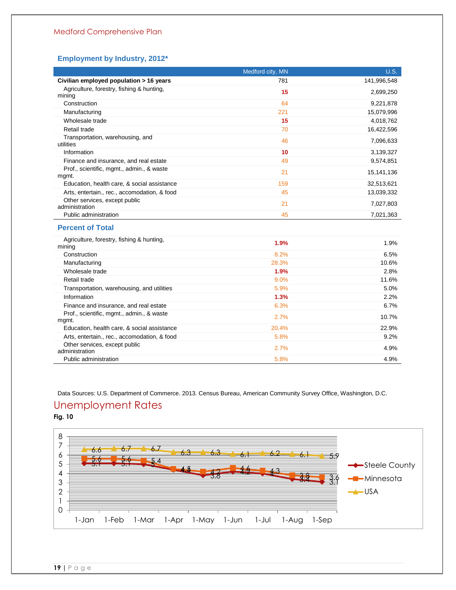#### **Employment by Industry, 2012\***

|                                                     | Medford city, MN | <b>U.S.</b>  |
|-----------------------------------------------------|------------------|--------------|
| Civilian employed population > 16 years             | 781              | 141,996,548  |
| Agriculture, forestry, fishing & hunting,<br>mining | 15               | 2,699,250    |
| Construction                                        | 64               | 9,221,878    |
| Manufacturing                                       | 221              | 15,079,996   |
| Wholesale trade                                     | 15               | 4,018,762    |
| Retail trade                                        | 70               | 16,422,596   |
| Transportation, warehousing, and<br>utilities       | 46               | 7,096,633    |
| Information                                         | 10               | 3,139,327    |
| Finance and insurance, and real estate              | 49               | 9,574,851    |
| Prof., scientific, mgmt., admin., & waste<br>mgmt.  | 21               | 15, 141, 136 |
| Education, health care, & social assistance         | 159              | 32,513,621   |
| Arts, entertain., rec., accomodation, & food        | 45               | 13,039,332   |
| Other services, except public<br>administration     | 21               | 7,027,803    |
| Public administration                               | 45               | 7,021,363    |
| <b>Percent of Total</b>                             |                  |              |
| Agriculture, forestry, fishing & hunting,<br>mining | 1.9%             | 1.9%         |
| Construction                                        | 8.2%             | 6.5%         |
| Manufacturing                                       | 28.3%            | 10.6%        |
| Wholesale trade                                     | 1.9%             | 2.8%         |
| Retail trade                                        | 9.0%             | 11.6%        |
| Transportation, warehousing, and utilities          | 5.9%             | 5.0%         |
| Information                                         | 1.3%             | 2.2%         |
| Finance and insurance, and real estate              | 6.3%             | 6.7%         |
| Prof., scientific, mgmt., admin., & waste<br>mgmt.  | 2.7%             | 10.7%        |
| Education, health care, & social assistance         | 20.4%            | 22.9%        |
| Arts, entertain., rec., accomodation, & food        | 5.8%             | 9.2%         |
| Other services, except public<br>administration     | 2.7%             | 4.9%         |

Data Sources: U.S. Department of Commerce. 2013. Census Bureau, American Community Survey Office, Washington, D.C.

Public administration 4.9% 4.9%

#### <span id="page-19-0"></span>Unemployment Rates **Fig. 10**

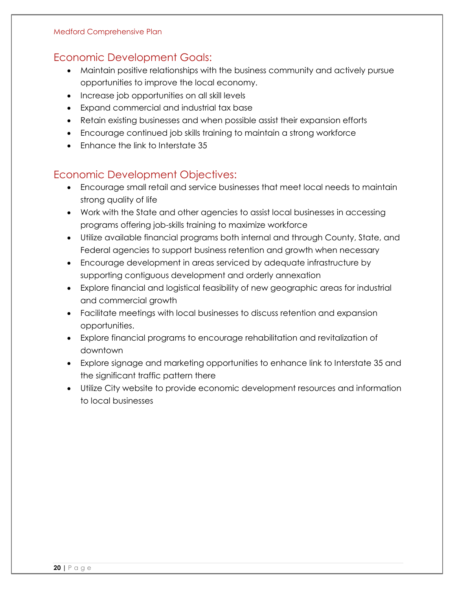## <span id="page-20-0"></span>Economic Development Goals:

- Maintain positive relationships with the business community and actively pursue opportunities to improve the local economy.
- Increase job opportunities on all skill levels
- Expand commercial and industrial tax base
- Retain existing businesses and when possible assist their expansion efforts
- Encourage continued job skills training to maintain a strong workforce
- Fnhance the link to Interstate 35

## <span id="page-20-1"></span>Economic Development Objectives:

- Encourage small retail and service businesses that meet local needs to maintain strong quality of life
- Work with the State and other agencies to assist local businesses in accessing programs offering job-skills training to maximize workforce
- Utilize available financial programs both internal and through County, State, and Federal agencies to support business retention and growth when necessary
- Encourage development in areas serviced by adequate infrastructure by supporting contiguous development and orderly annexation
- Explore financial and logistical feasibility of new geographic areas for industrial and commercial growth
- Facilitate meetings with local businesses to discuss retention and expansion opportunities.
- Explore financial programs to encourage rehabilitation and revitalization of downtown
- Explore signage and marketing opportunities to enhance link to Interstate 35 and the significant traffic pattern there
- Utilize City website to provide economic development resources and information to local businesses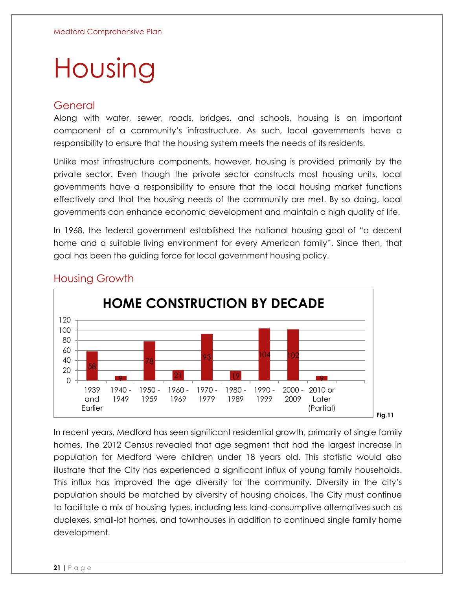## Housing

#### <span id="page-21-0"></span>General

Along with water, sewer, roads, bridges, and schools, housing is an important component of a community's infrastructure. As such, local governments have a responsibility to ensure that the housing system meets the needs of its residents.

Unlike most infrastructure components, however, housing is provided primarily by the private sector. Even though the private sector constructs most housing units, local governments have a responsibility to ensure that the local housing market functions effectively and that the housing needs of the community are met. By so doing, local governments can enhance economic development and maintain a high quality of life.

In 1968, the federal government established the national housing goal of "a decent home and a suitable living environment for every American family". Since then, that goal has been the guiding force for local government housing policy.



### <span id="page-21-1"></span>Housing Growth

In recent years, Medford has seen significant residential growth, primarily of single family homes. The 2012 Census revealed that age segment that had the largest increase in population for Medford were children under 18 years old. This statistic would also illustrate that the City has experienced a significant influx of young family households. This influx has improved the age diversity for the community. Diversity in the city's population should be matched by diversity of housing choices. The City must continue to facilitate a mix of housing types, including less land-consumptive alternatives such as duplexes, small-lot homes, and townhouses in addition to continued single family home development.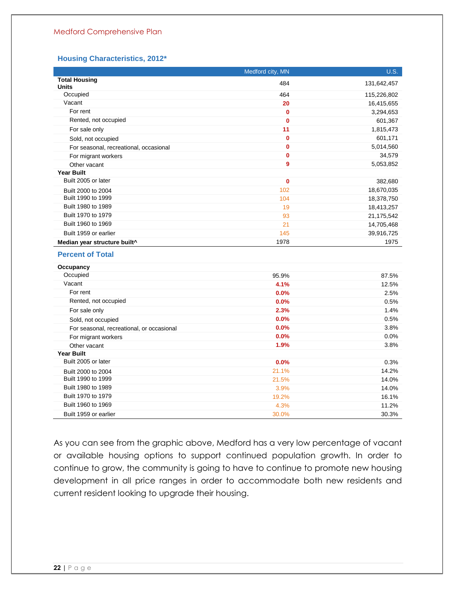#### **Housing Characteristics, 2012\***

|                                           | Medford city, MN | U.S.        |
|-------------------------------------------|------------------|-------------|
| <b>Total Housing</b><br><b>Units</b>      | 484              | 131,642,457 |
| Occupied                                  | 464              | 115,226,802 |
| Vacant                                    | 20               | 16,415,655  |
| For rent                                  | $\mathbf{0}$     | 3,294,653   |
| Rented, not occupied                      | $\bf{0}$         | 601,367     |
| For sale only                             | 11               | 1,815,473   |
| Sold, not occupied                        | $\mathbf 0$      | 601,171     |
| For seasonal, recreational, occasional    | $\mathbf{0}$     | 5,014,560   |
| For migrant workers                       | $\mathbf{0}$     | 34,579      |
| Other vacant                              | 9                | 5,053,852   |
| <b>Year Built</b>                         |                  |             |
| Built 2005 or later                       | $\bf{0}$         | 382,680     |
| Built 2000 to 2004                        | 102              | 18,670,035  |
| Built 1990 to 1999                        | 104              | 18,378,750  |
| Built 1980 to 1989                        | 19               | 18,413,257  |
| Built 1970 to 1979                        | 93               | 21,175,542  |
| Built 1960 to 1969                        | 21               | 14,705,468  |
| Built 1959 or earlier                     | 145              | 39,916,725  |
| Median year structure built^              | 1978             | 1975        |
| <b>Percent of Total</b>                   |                  |             |
| Occupancy                                 |                  |             |
| Occupied                                  | 95.9%            | 87.5%       |
| Vacant                                    | 4.1%             | 12.5%       |
| For rent                                  | 0.0%             | 2.5%        |
| Rented, not occupied                      | 0.0%             | 0.5%        |
| For sale only                             | 2.3%             | 1.4%        |
| Sold, not occupied                        | 0.0%             | 0.5%        |
| For seasonal, recreational, or occasional | 0.0%             | 3.8%        |
| For migrant workers                       | 0.0%             | 0.0%        |
| Other vacant                              | 1.9%             | 3.8%        |
| <b>Year Built</b>                         |                  |             |
| Built 2005 or later                       | 0.0%             | 0.3%        |
| Built 2000 to 2004                        | 21.1%            | 14.2%       |
| Built 1990 to 1999                        | 21.5%            | 14.0%       |
| Built 1980 to 1989                        | 3.9%             | 14.0%       |
| Built 1970 to 1979                        | 19.2%            | 16.1%       |
| Built 1960 to 1969                        | 4.3%             | 11.2%       |
| Built 1959 or earlier                     | 30.0%            | 30.3%       |

As you can see from the graphic above, Medford has a very low percentage of vacant or available housing options to support continued population growth. In order to continue to grow, the community is going to have to continue to promote new housing development in all price ranges in order to accommodate both new residents and current resident looking to upgrade their housing.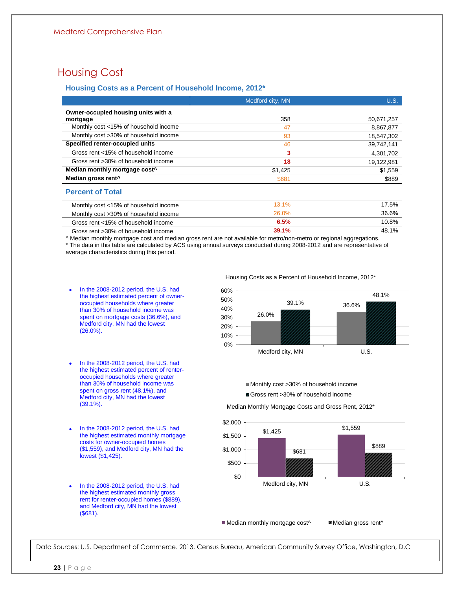## <span id="page-23-0"></span>Housing Cost

#### **Housing Costs as a Percent of Household Income, 2012\***

|                                           | Medford city, MN | <b>U.S.</b> |
|-------------------------------------------|------------------|-------------|
| Owner-occupied housing units with a       |                  |             |
| mortgage                                  | 358              | 50,671,257  |
| Monthly cost <15% of household income     | 47               | 8,867,877   |
| Monthly cost >30% of household income     | 93               | 18,547,302  |
| Specified renter-occupied units           | 46               | 39,742,141  |
| Gross rent <15% of household income       | 3                | 4,301,702   |
| Gross rent >30% of household income       | 18               | 19,122,981  |
| Median monthly mortgage cost <sup>^</sup> | \$1,425          | \$1,559     |
| Median gross rent <sup>^</sup>            | \$681            | \$889       |
| <b>Percent of Total</b>                   |                  |             |
| Monthly cost <15% of household income     | 13.1%            | 17.5%       |
| Monthly cost >30% of household income     | 26.0%            | 36.6%       |
| Gross rent <15% of household income       | 6.5%             | 10.8%       |
| Gross rent >30% of household income       | 39.1%            | 48.1%       |

^ Median monthly mortgage cost and median gross rent are not available for metro/non-metro or regional aggregations. \* The data in this table are calculated by ACS using annual surveys conducted during 2008-2012 and are representative of average characteristics during this period.

- **•** In the 2008-2012 period, the U.S. had the highest estimated percent of owneroccupied households where greater than 30% of household income was spent on mortgage costs (36.6%), and Medford city, MN had the lowest (26.0%).
- **•** In the 2008-2012 period, the U.S. had the highest estimated percent of renteroccupied households where greater than 30% of household income was spent on gross rent (48.1%), and Medford city, MN had the lowest (39.1%).
- **•** In the 2008-2012 period, the U.S. had the highest estimated monthly mortgage costs for owner-occupied homes (\$1,559), and Medford city, MN had the lowest (\$1,425).
- **•** In the 2008-2012 period, the U.S. had the highest estimated monthly gross rent for renter-occupied homes (\$889), and Medford city, MN had the lowest (\$681).

Housing Costs as a Percent of Household Income, 2012\*



■ Monthly cost >30% of household income Gross rent >30% of household income

Median Monthly Mortgage Costs and Gross Rent, 2012\*



Median monthly mortgage cost^ Median gross rent^

Data Sources: U.S. Department of Commerce. 2013. Census Bureau, American Community Survey Office, Washington, D.C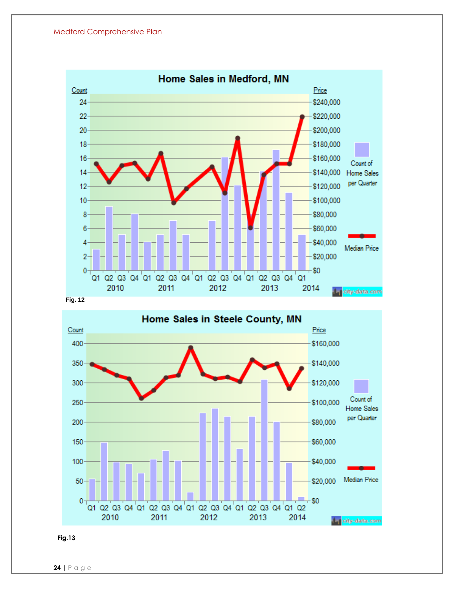



**Fig.13**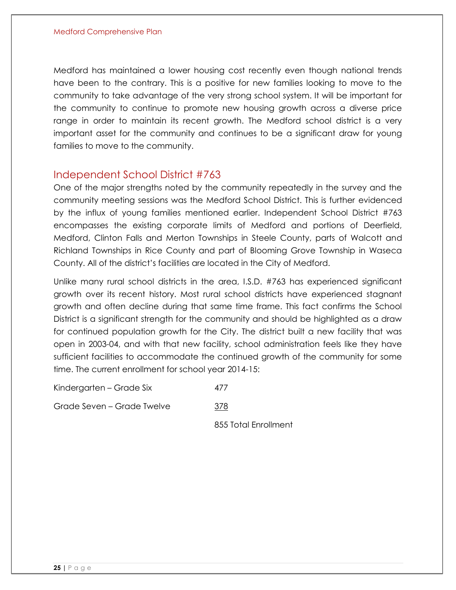Medford has maintained a lower housing cost recently even though national trends have been to the contrary. This is a positive for new families looking to move to the community to take advantage of the very strong school system. It will be important for the community to continue to promote new housing growth across a diverse price range in order to maintain its recent growth. The Medford school district is a very important asset for the community and continues to be a significant draw for young families to move to the community.

#### <span id="page-25-0"></span>Independent School District #763

One of the major strengths noted by the community repeatedly in the survey and the community meeting sessions was the Medford School District. This is further evidenced by the influx of young families mentioned earlier. Independent School District #763 encompasses the existing corporate limits of Medford and portions of Deerfield, Medford, Clinton Falls and Merton Townships in Steele County, parts of Walcott and Richland Townships in Rice County and part of Blooming Grove Township in Waseca County. All of the district's facilities are located in the City of Medford.

Unlike many rural school districts in the area, I.S.D. #763 has experienced significant growth over its recent history. Most rural school districts have experienced stagnant growth and often decline during that same time frame. This fact confirms the School District is a significant strength for the community and should be highlighted as a draw for continued population growth for the City. The district built a new facility that was open in 2003-04, and with that new facility, school administration feels like they have sufficient facilities to accommodate the continued growth of the community for some time. The current enrollment for school year 2014-15:

Kindergarten – Grade Six 477

Grade Seven – Grade Twelve 378

855 Total Enrollment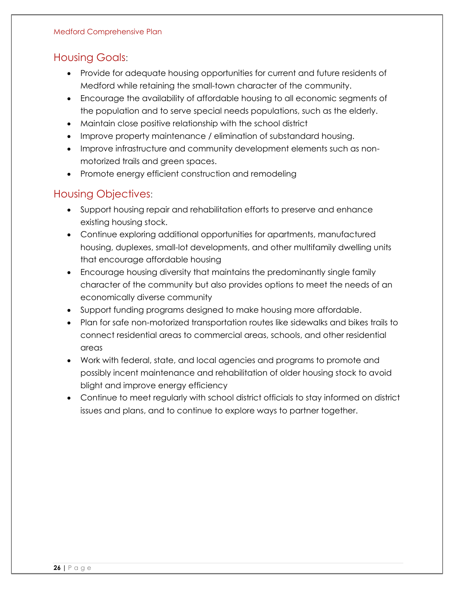### <span id="page-26-0"></span>Housing Goals:

- Provide for adequate housing opportunities for current and future residents of Medford while retaining the small-town character of the community.
- Encourage the availability of affordable housing to all economic segments of the population and to serve special needs populations, such as the elderly.
- Maintain close positive relationship with the school district
- Improve property maintenance / elimination of substandard housing.
- Improve infrastructure and community development elements such as nonmotorized trails and green spaces.
- Promote energy efficient construction and remodeling

### <span id="page-26-1"></span>Housing Objectives:

- Support housing repair and rehabilitation efforts to preserve and enhance existing housing stock.
- Continue exploring additional opportunities for apartments, manufactured housing, duplexes, small-lot developments, and other multifamily dwelling units that encourage affordable housing
- Encourage housing diversity that maintains the predominantly single family character of the community but also provides options to meet the needs of an economically diverse community
- Support funding programs designed to make housing more affordable.
- Plan for safe non-motorized transportation routes like sidewalks and bikes trails to connect residential areas to commercial areas, schools, and other residential areas
- Work with federal, state, and local agencies and programs to promote and possibly incent maintenance and rehabilitation of older housing stock to avoid blight and improve energy efficiency
- Continue to meet regularly with school district officials to stay informed on district issues and plans, and to continue to explore ways to partner together.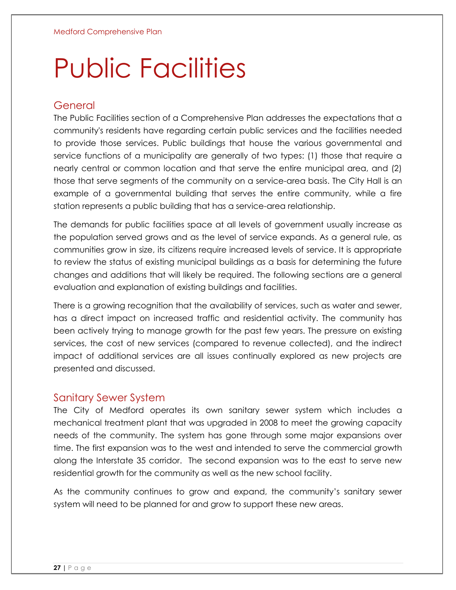# Public Facilities

### <span id="page-27-0"></span>General

The Public Facilities section of a Comprehensive Plan addresses the expectations that a community's residents have regarding certain public services and the facilities needed to provide those services. Public buildings that house the various governmental and service functions of a municipality are generally of two types: (1) those that require a nearly central or common location and that serve the entire municipal area, and (2) those that serve segments of the community on a service-area basis. The City Hall is an example of a governmental building that serves the entire community, while a fire station represents a public building that has a service-area relationship.

The demands for public facilities space at all levels of government usually increase as the population served grows and as the level of service expands. As a general rule, as communities grow in size, its citizens require increased levels of service. It is appropriate to review the status of existing municipal buildings as a basis for determining the future changes and additions that will likely be required. The following sections are a general evaluation and explanation of existing buildings and facilities.

There is a growing recognition that the availability of services, such as water and sewer, has a direct impact on increased traffic and residential activity. The community has been actively trying to manage growth for the past few years. The pressure on existing services, the cost of new services (compared to revenue collected), and the indirect impact of additional services are all issues continually explored as new projects are presented and discussed.

#### <span id="page-27-1"></span>Sanitary Sewer System

The City of Medford operates its own sanitary sewer system which includes a mechanical treatment plant that was upgraded in 2008 to meet the growing capacity needs of the community. The system has gone through some major expansions over time. The first expansion was to the west and intended to serve the commercial growth along the Interstate 35 corridor. The second expansion was to the east to serve new residential growth for the community as well as the new school facility.

As the community continues to grow and expand, the community's sanitary sewer system will need to be planned for and grow to support these new areas.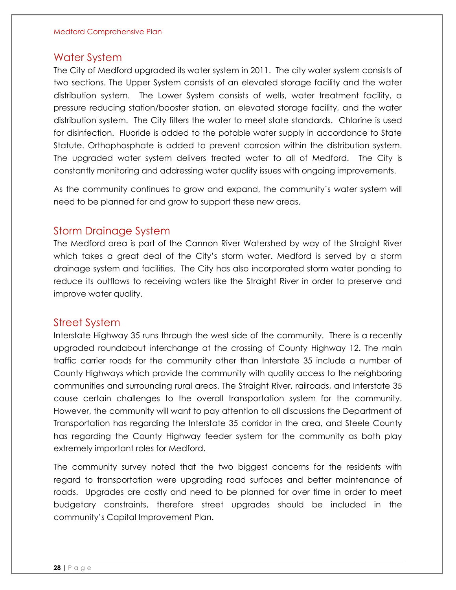#### <span id="page-28-0"></span>Water System

The City of Medford upgraded its water system in 2011. The city water system consists of two sections. The Upper System consists of an elevated storage facility and the water distribution system. The Lower System consists of wells, water treatment facility, a pressure reducing station/booster station, an elevated storage facility, and the water distribution system. The City filters the water to meet state standards. Chlorine is used for disinfection. Fluoride is added to the potable water supply in accordance to State Statute. Orthophosphate is added to prevent corrosion within the distribution system. The upgraded water system delivers treated water to all of Medford. The City is constantly monitoring and addressing water quality issues with ongoing improvements.

As the community continues to grow and expand, the community's water system will need to be planned for and grow to support these new areas.

#### <span id="page-28-1"></span>Storm Drainage System

The Medford area is part of the Cannon River Watershed by way of the Straight River which takes a great deal of the City's storm water. Medford is served by a storm drainage system and facilities. The City has also incorporated storm water ponding to reduce its outflows to receiving waters like the Straight River in order to preserve and improve water quality.

#### <span id="page-28-2"></span>Street System

Interstate Highway 35 runs through the west side of the community. There is a recently upgraded roundabout interchange at the crossing of County Highway 12. The main traffic carrier roads for the community other than Interstate 35 include a number of County Highways which provide the community with quality access to the neighboring communities and surrounding rural areas. The Straight River, railroads, and Interstate 35 cause certain challenges to the overall transportation system for the community. However, the community will want to pay attention to all discussions the Department of Transportation has regarding the Interstate 35 corridor in the area, and Steele County has regarding the County Highway feeder system for the community as both play extremely important roles for Medford.

The community survey noted that the two biggest concerns for the residents with regard to transportation were upgrading road surfaces and better maintenance of roads. Upgrades are costly and need to be planned for over time in order to meet budgetary constraints, therefore street upgrades should be included in the community's Capital Improvement Plan.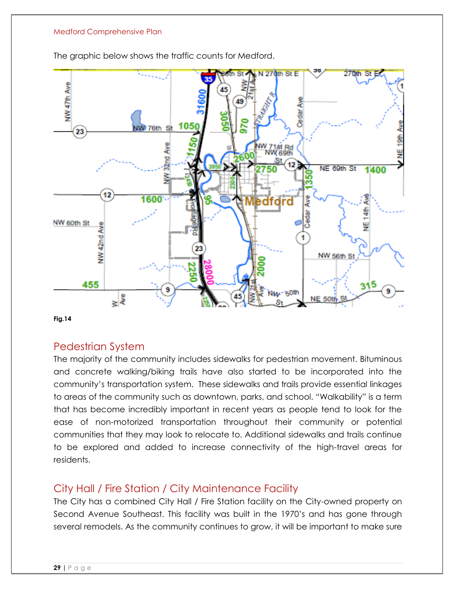

The graphic below shows the traffic counts for Medford.

**Fig.14**

#### <span id="page-29-0"></span>Pedestrian System

The majority of the community includes sidewalks for pedestrian movement. Bituminous and concrete walking/biking trails have also started to be incorporated into the community's transportation system. These sidewalks and trails provide essential linkages to areas of the community such as downtown, parks, and school. "Walkability" is a term that has become incredibly important in recent years as people tend to look for the ease of non-motorized transportation throughout their community or potential communities that they may look to relocate to. Additional sidewalks and trails continue to be explored and added to increase connectivity of the high-travel areas for residents.

## <span id="page-29-1"></span>City Hall / Fire Station / City Maintenance Facility

The City has a combined City Hall / Fire Station facility on the City-owned property on Second Avenue Southeast. This facility was built in the 1970's and has gone through several remodels. As the community continues to grow, it will be important to make sure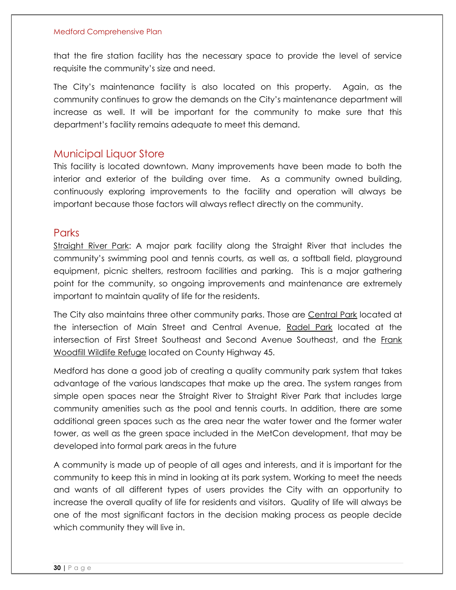that the fire station facility has the necessary space to provide the level of service requisite the community's size and need.

The City's maintenance facility is also located on this property. Again, as the community continues to grow the demands on the City's maintenance department will increase as well. It will be important for the community to make sure that this department's facility remains adequate to meet this demand.

#### <span id="page-30-0"></span>Municipal Liquor Store

This facility is located downtown. Many improvements have been made to both the interior and exterior of the building over time. As a community owned building, continuously exploring improvements to the facility and operation will always be important because those factors will always reflect directly on the community.

#### <span id="page-30-1"></span>**Parks**

Straight River Park: A major park facility along the Straight River that includes the community's swimming pool and tennis courts, as well as, a softball field, playground equipment, picnic shelters, restroom facilities and parking. This is a major gathering point for the community, so ongoing improvements and maintenance are extremely important to maintain quality of life for the residents.

The City also maintains three other community parks. Those are Central Park located at the intersection of Main Street and Central Avenue, Radel Park located at the intersection of First Street Southeast and Second Avenue Southeast, and the Frank Woodfill Wildlife Refuge located on County Highway 45.

Medford has done a good job of creating a quality community park system that takes advantage of the various landscapes that make up the area. The system ranges from simple open spaces near the Straight River to Straight River Park that includes large community amenities such as the pool and tennis courts. In addition, there are some additional green spaces such as the area near the water tower and the former water tower, as well as the green space included in the MetCon development, that may be developed into formal park areas in the future

A community is made up of people of all ages and interests, and it is important for the community to keep this in mind in looking at its park system. Working to meet the needs and wants of all different types of users provides the City with an opportunity to increase the overall quality of life for residents and visitors. Quality of life will always be one of the most significant factors in the decision making process as people decide which community they will live in.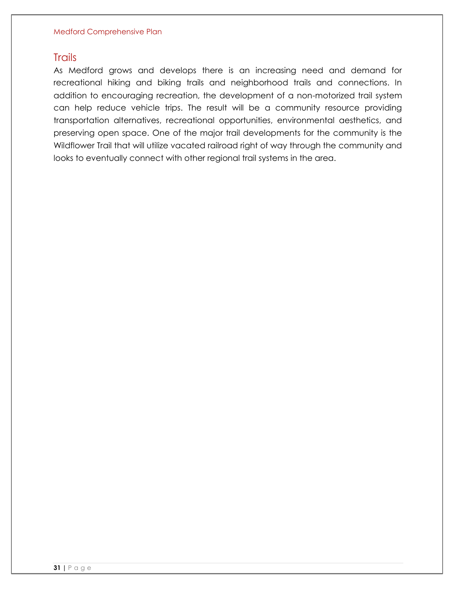#### **Trails**

As Medford grows and develops there is an increasing need and demand for recreational hiking and biking trails and neighborhood trails and connections. In addition to encouraging recreation, the development of a non-motorized trail system can help reduce vehicle trips. The result will be a community resource providing transportation alternatives, recreational opportunities, environmental aesthetics, and preserving open space. One of the major trail developments for the community is the Wildflower Trail that will utilize vacated railroad right of way through the community and looks to eventually connect with other regional trail systems in the area.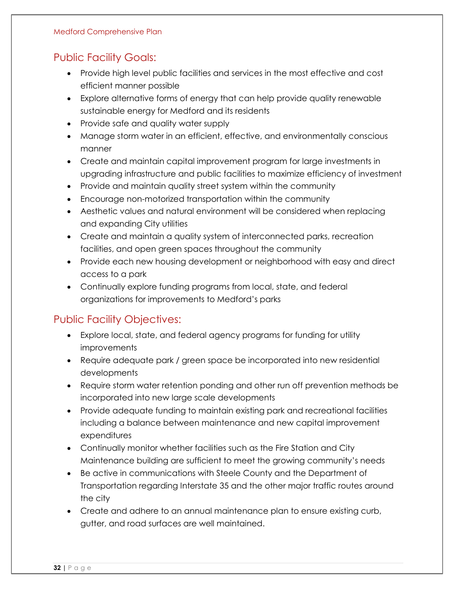## <span id="page-32-0"></span>Public Facility Goals:

- Provide high level public facilities and services in the most effective and cost efficient manner possible
- Explore alternative forms of energy that can help provide quality renewable sustainable energy for Medford and its residents
- Provide safe and quality water supply
- Manage storm water in an efficient, effective, and environmentally conscious manner
- Create and maintain capital improvement program for large investments in upgrading infrastructure and public facilities to maximize efficiency of investment
- Provide and maintain quality street system within the community
- Encourage non-motorized transportation within the community
- Aesthetic values and natural environment will be considered when replacing and expanding City utilities
- Create and maintain a quality system of interconnected parks, recreation facilities, and open green spaces throughout the community
- Provide each new housing development or neighborhood with easy and direct access to a park
- Continually explore funding programs from local, state, and federal organizations for improvements to Medford's parks

## <span id="page-32-1"></span>Public Facility Objectives:

- Explore local, state, and federal agency programs for funding for utility improvements
- Require adequate park / green space be incorporated into new residential developments
- Require storm water retention ponding and other run off prevention methods be incorporated into new large scale developments
- Provide adequate funding to maintain existing park and recreational facilities including a balance between maintenance and new capital improvement expenditures
- Continually monitor whether facilities such as the Fire Station and City Maintenance building are sufficient to meet the growing community's needs
- Be active in communications with Steele County and the Department of Transportation regarding Interstate 35 and the other major traffic routes around the city
- Create and adhere to an annual maintenance plan to ensure existing curb, gutter, and road surfaces are well maintained.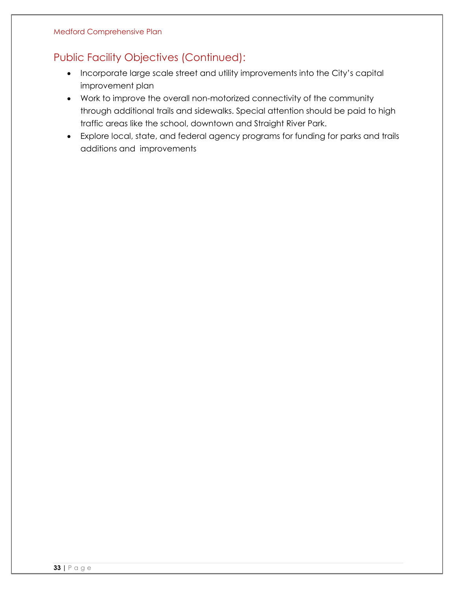## <span id="page-33-0"></span>Public Facility Objectives (Continued):

- Incorporate large scale street and utility improvements into the City's capital improvement plan
- Work to improve the overall non-motorized connectivity of the community through additional trails and sidewalks. Special attention should be paid to high traffic areas like the school, downtown and Straight River Park.
- Explore local, state, and federal agency programs for funding for parks and trails additions and improvements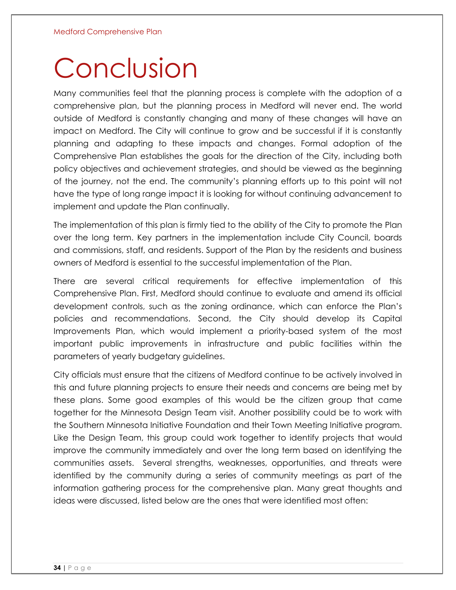## Conclusion

Many communities feel that the planning process is complete with the adoption of a comprehensive plan, but the planning process in Medford will never end. The world outside of Medford is constantly changing and many of these changes will have an impact on Medford. The City will continue to grow and be successful if it is constantly planning and adapting to these impacts and changes. Formal adoption of the Comprehensive Plan establishes the goals for the direction of the City, including both policy objectives and achievement strategies, and should be viewed as the beginning of the journey, not the end. The community's planning efforts up to this point will not have the type of long range impact it is looking for without continuing advancement to implement and update the Plan continually.

The implementation of this plan is firmly tied to the ability of the City to promote the Plan over the long term. Key partners in the implementation include City Council, boards and commissions, staff, and residents. Support of the Plan by the residents and business owners of Medford is essential to the successful implementation of the Plan.

There are several critical requirements for effective implementation of this Comprehensive Plan. First, Medford should continue to evaluate and amend its official development controls, such as the zoning ordinance, which can enforce the Plan's policies and recommendations. Second, the City should develop its Capital Improvements Plan, which would implement a priority-based system of the most important public improvements in infrastructure and public facilities within the parameters of yearly budgetary guidelines.

City officials must ensure that the citizens of Medford continue to be actively involved in this and future planning projects to ensure their needs and concerns are being met by these plans. Some good examples of this would be the citizen group that came together for the Minnesota Design Team visit. Another possibility could be to work with the Southern Minnesota Initiative Foundation and their Town Meeting Initiative program. Like the Design Team, this group could work together to identify projects that would improve the community immediately and over the long term based on identifying the communities assets. Several strengths, weaknesses, opportunities, and threats were identified by the community during a series of community meetings as part of the information gathering process for the comprehensive plan. Many great thoughts and ideas were discussed, listed below are the ones that were identified most often: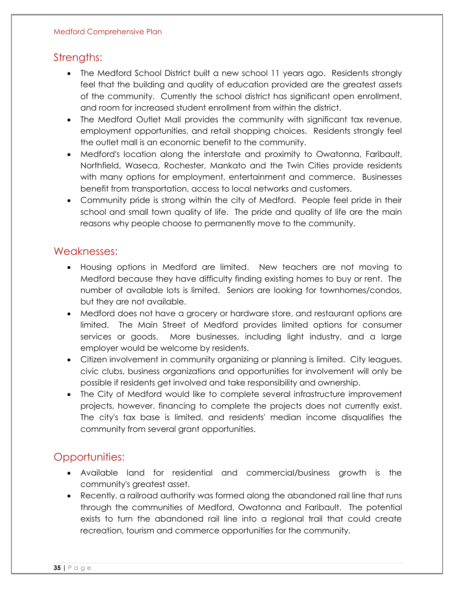### Strengths:

- The Medford School District built a new school 11 years ago. Residents strongly feel that the building and quality of education provided are the greatest assets of the community. Currently the school district has significant open enrollment, and room for increased student enrollment from within the district.
- The Medford Outlet Mall provides the community with significant tax revenue, employment opportunities, and retail shopping choices. Residents strongly feel the outlet mall is an economic benefit to the community.
- Medford's location along the interstate and proximity to Owatonna, Faribault, Northfield, Waseca, Rochester, Mankato and the Twin Cities provide residents with many options for employment, entertainment and commerce. Businesses benefit from transportation, access to local networks and customers.
- Community pride is strong within the city of Medford. People feel pride in their school and small town quality of life. The pride and quality of life are the main reasons why people choose to permanently move to the community.

#### Weaknesses:

- Housing options in Medford are limited. New teachers are not moving to Medford because they have difficulty finding existing homes to buy or rent. The number of available lots is limited. Seniors are looking for townhomes/condos, but they are not available.
- Medford does not have a grocery or hardware store, and restaurant options are limited. The Main Street of Medford provides limited options for consumer services or goods. More businesses, including light industry, and a large employer would be welcome by residents.
- Citizen involvement in community organizing or planning is limited. City leagues, civic clubs, business organizations and opportunities for involvement will only be possible if residents get involved and take responsibility and ownership.
- The City of Medford would like to complete several infrastructure improvement projects, however, financing to complete the projects does not currently exist. The city's tax base is limited, and residents' median income disqualifies the community from several grant opportunities.

## Opportunities:

- Available land for residential and commercial/business growth is the community's greatest asset.
- Recently, a railroad authority was formed along the abandoned rail line that runs through the communities of Medford, Owatonna and Faribault. The potential exists to turn the abandoned rail line into a regional trail that could create recreation, tourism and commerce opportunities for the community.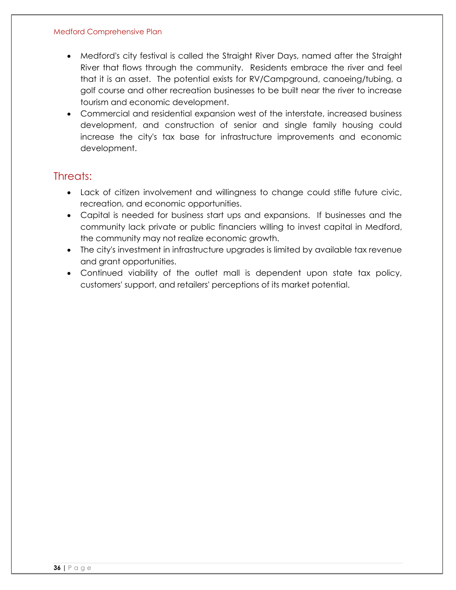- Medford's city festival is called the Straight River Days, named after the Straight River that flows through the community. Residents embrace the river and feel that it is an asset. The potential exists for RV/Campground, canoeing/tubing, a golf course and other recreation businesses to be built near the river to increase tourism and economic development.
- Commercial and residential expansion west of the interstate, increased business development, and construction of senior and single family housing could increase the city's tax base for infrastructure improvements and economic development.

#### Threats:

- Lack of citizen involvement and willingness to change could stifle future civic, recreation, and economic opportunities.
- Capital is needed for business start ups and expansions. If businesses and the community lack private or public financiers willing to invest capital in Medford, the community may not realize economic growth.
- The city's investment in infrastructure upgrades is limited by available tax revenue and grant opportunities.
- Continued viability of the outlet mall is dependent upon state tax policy, customers' support, and retailers' perceptions of its market potential.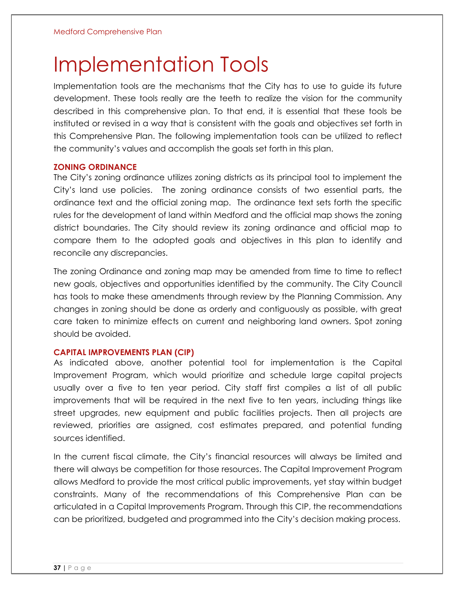## Implementation Tools

Implementation tools are the mechanisms that the City has to use to guide its future development. These tools really are the teeth to realize the vision for the community described in this comprehensive plan. To that end, it is essential that these tools be instituted or revised in a way that is consistent with the goals and objectives set forth in this Comprehensive Plan. The following implementation tools can be utilized to reflect the community's values and accomplish the goals set forth in this plan.

#### <span id="page-37-0"></span>**ZONING ORDINANCE**

The City's zoning ordinance utilizes zoning districts as its principal tool to implement the City's land use policies. The zoning ordinance consists of two essential parts, the ordinance text and the official zoning map. The ordinance text sets forth the specific rules for the development of land within Medford and the official map shows the zoning district boundaries. The City should review its zoning ordinance and official map to compare them to the adopted goals and objectives in this plan to identify and reconcile any discrepancies.

The zoning Ordinance and zoning map may be amended from time to time to reflect new goals, objectives and opportunities identified by the community. The City Council has tools to make these amendments through review by the Planning Commission. Any changes in zoning should be done as orderly and contiguously as possible, with great care taken to minimize effects on current and neighboring land owners. Spot zoning should be avoided.

#### <span id="page-37-1"></span>**CAPITAL IMPROVEMENTS PLAN (CIP)**

As indicated above, another potential tool for implementation is the Capital Improvement Program, which would prioritize and schedule large capital projects usually over a five to ten year period. City staff first compiles a list of all public improvements that will be required in the next five to ten years, including things like street upgrades, new equipment and public facilities projects. Then all projects are reviewed, priorities are assigned, cost estimates prepared, and potential funding sources identified.

In the current fiscal climate, the City's financial resources will always be limited and there will always be competition for those resources. The Capital Improvement Program allows Medford to provide the most critical public improvements, yet stay within budget constraints. Many of the recommendations of this Comprehensive Plan can be articulated in a Capital Improvements Program. Through this CIP, the recommendations can be prioritized, budgeted and programmed into the City's decision making process.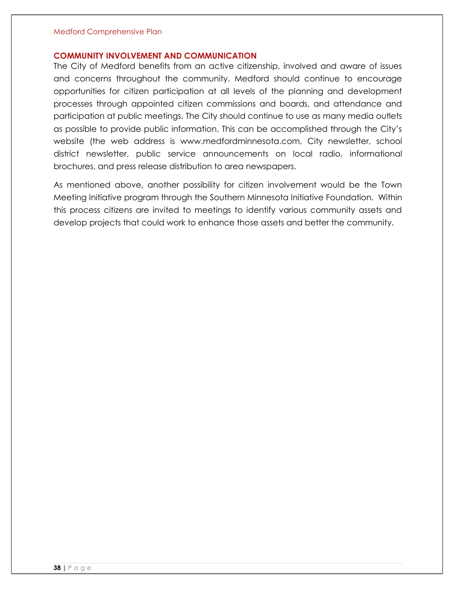#### <span id="page-38-0"></span>**COMMUNITY INVOLVEMENT AND COMMUNICATION**

The City of Medford benefits from an active citizenship, involved and aware of issues and concerns throughout the community. Medford should continue to encourage opportunities for citizen participation at all levels of the planning and development processes through appointed citizen commissions and boards, and attendance and participation at public meetings. The City should continue to use as many media outlets as possible to provide public information. This can be accomplished through the City's website (the web address is www.medfordminnesota.com, City newsletter, school district newsletter, public service announcements on local radio, informational brochures, and press release distribution to area newspapers.

As mentioned above, another possibility for citizen involvement would be the Town Meeting Initiative program through the Southern Minnesota Initiative Foundation. Within this process citizens are invited to meetings to identify various community assets and develop projects that could work to enhance those assets and better the community.